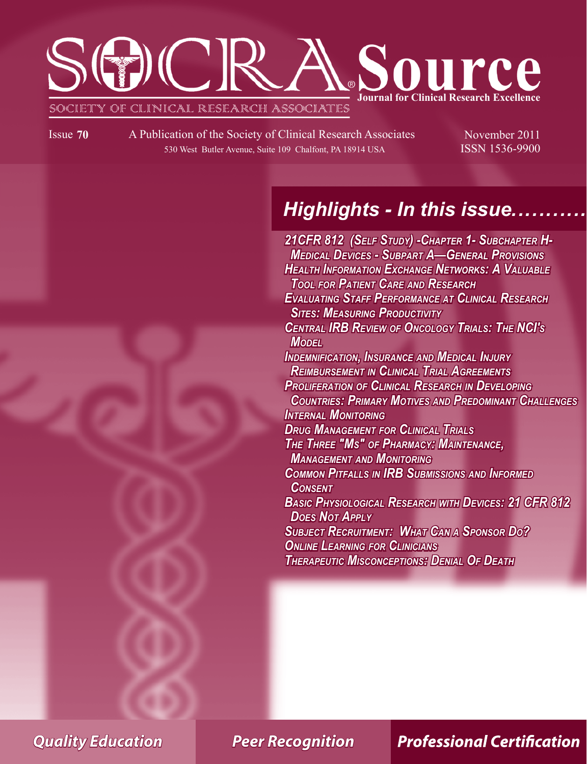# SGD(CR Source **Journal for Clinical Research Excellence** SOCIETY OF CLINICAL RESEARCH ASSOCIATES

Issue 70 A Publication of the Society of Clinical Research Associates November 2011 530 West Butler Avenue, Suite 109 Chalfont, PA 18914 USA ISSN 1536-9900

Ī

# **Highlights - In this issue.**

**21CFR 812 (SELF STUDY) - CHAPTER 1 - SUBCHAPTER H-***MEDICAL DEVICES - SUBPART A—GENERAL PROVISIONS* **HEALTH INFORMATION EXCHANGE NETWORKS: A VALUABLE** *TOOL FOR PATIENT CARE AND RESEARCH EVALUATING STAFF PERFORMANCE AT CLINICAL RESEARCH* **SITES: MEASURING PRODUCTIVITY CENTRAL IRB REVIEW OF ONCOLOGY TRIALS: THE NCI'S** *MODEL* **INDEMNIFICATION, INSURANCE AND MEDICAL INJURY REIMBURSEMENT IN CLINICAL TRIAL AGREEMENTS PROLIFERATION OF CLINICAL RESEARCH IN DEVELOPING COUNTRIES: PRIMARY MOTIVES AND PREDOMINANT CHALLENGES INTERNAL MONITORING DRUG MANAGEMENT FOR CLINICAL TRIALS THE THREE "Ms" OF PHARMACY: MAINTENANCE, MANAGEMENT AND MONITORING COMMON PITFALLS IN IRB SUBMISSIONS AND INFORMED** *CONSENT* **BASIC PHYSIOLOGICAL RESEARCH WITH DEVICES: 21 CFR 812 DOES NOT APPLY SUBJECT RECRUITMENT: WHAT CAN A SPONSOR DO? ONLINE LEARNING FOR CLINICIANS THERAPEUTIC MISCONCEPTIONS: DENIAL OF DEATH** 

*Quality Education Peer Recognition*

**Professional Certification**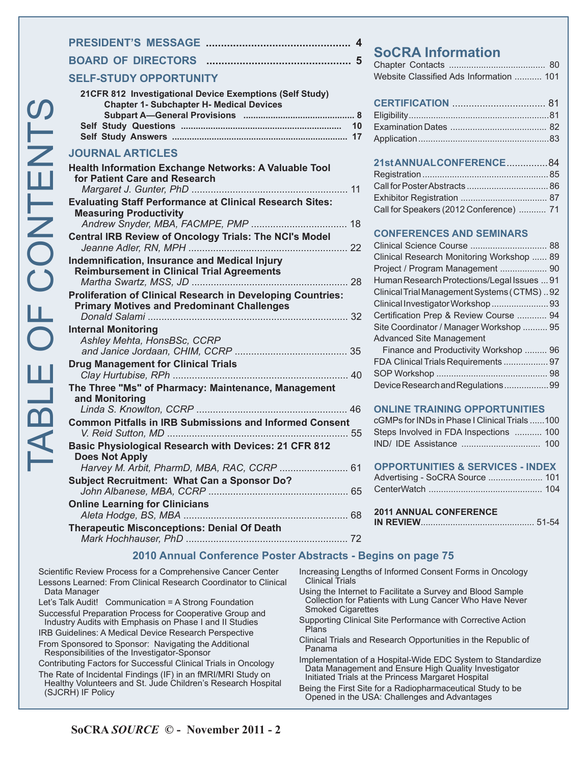|                  | <b>SELF-STUL</b>                                                    |
|------------------|---------------------------------------------------------------------|
| $\boldsymbol{U}$ | 21CFR 812<br>Chap<br><b>Subp</b><br>Self Study<br><b>Self Study</b> |
|                  | <b>JOURNAL</b>                                                      |
|                  | <b>Health Inforr</b><br>for Patient<br>Margaret .                   |
|                  | <b>Evaluating S</b><br>Measuring<br>Andrew Si                       |
|                  | <b>Central IRB</b><br>Jeanne Ad                                     |
|                  | Indemnificat<br><b>Reimburse</b><br>Martha Su                       |
|                  | Proliferation<br><b>Primary Mc</b><br>Donald Sa                     |
|                  | <b>Internal Mon</b><br><b>Ashley Me</b><br>and Janice               |
|                  | <b>Drug Manag</b><br>Clay Hurtu                                     |
|                  | The Three "I<br>and Monito<br>Linda S. K                            |
|                  | <b>Common Pit</b><br>V. Reid Su                                     |
|                  | <b>Basic Physid</b><br>Does Not A<br>Harvey M.                      |
|                  | <b>Subject Rect</b>                                                 |

Ī

### **PRESIDENT'S MESSAGE ................................................ 4 BOARD OF DIRECTORS ................................................ 5**

#### **SELF-STUDY OPPORTUNITY**

| 21 CFR 812 Investigational Device Exemptions (Self Study) |  |
|-----------------------------------------------------------|--|
| <b>Chapter 1- Subchapter H- Medical Devices</b>           |  |
|                                                           |  |
|                                                           |  |
|                                                           |  |
|                                                           |  |

#### **ARTICLES**

| <b>Health Information Exchange Networks: A Valuable Tool</b><br>for Patient Care and Research                                 |
|-------------------------------------------------------------------------------------------------------------------------------|
| <b>Evaluating Staff Performance at Clinical Research Sites:</b><br><b>Measuring Productivity</b>                              |
| <b>Central IRB Review of Oncology Trials: The NCI's Model</b>                                                                 |
| Indemnification, Insurance and Medical Injury<br><b>Reimbursement in Clinical Trial Agreements</b>                            |
| <b>Proliferation of Clinical Research in Developing Countries:</b><br><b>Primary Motives and Predominant Challenges</b>       |
| <b>Internal Monitoring</b><br>Ashley Mehta, HonsBSc, CCRP                                                                     |
| <b>Drug Management for Clinical Trials</b>                                                                                    |
| The Three "Ms" of Pharmacy: Maintenance, Management<br>and Monitoring                                                         |
| <b>Common Pitfalls in IRB Submissions and Informed Consent</b>                                                                |
| Basic Physiological Research with Devices: 21 CFR 812<br><b>Does Not Apply</b><br>Harvey M. Arbit, PharmD, MBA, RAC, CCRP  61 |
| <b>Subject Recruitment: What Can a Sponsor Do?</b>                                                                            |
| <b>Online Learning for Clinicians</b>                                                                                         |
| <b>Therapeutic Misconceptions: Denial Of Death</b>                                                                            |

## **SoCRA Information**

| Website Classified Ads Information  101 |  |  |  |
|-----------------------------------------|--|--|--|

### **CERTIFICATION** .................................. 81

#### **21st ANNUAL CONFERENCE**............... 84

| Call for Speakers (2012 Conference)  71 |  |
|-----------------------------------------|--|

#### **CONFERENCES AND SEMINARS**

| Clinical Research Monitoring Workshop  89   |  |
|---------------------------------------------|--|
| Project / Program Management  90            |  |
| Human Research Protections/Legal Issues  91 |  |
| Clinical Trial Management Systems (CTMS)92  |  |
| Clinical Investigator Workshop  93          |  |
| Certification Prep & Review Course  94      |  |
| Site Coordinator / Manager Workshop  95     |  |
| <b>Advanced Site Management</b>             |  |
| Finance and Productivity Workshop  96       |  |
| FDA Clinical Trials Requirements  97        |  |
|                                             |  |
| Device Research and Regulations99           |  |
|                                             |  |

#### **ONLINE TRAINING OPPORTUNITIES**

| cGMPs for INDs in Phase I Clinical Trials 100 |  |
|-----------------------------------------------|--|
| Steps Involved in FDA Inspections  100        |  |
|                                               |  |

#### **OPPORTUNITIES & SERVICES - INDEX**

| Advertising - SoCRA Source  101 |  |
|---------------------------------|--|
|                                 |  |

| <b>2011 ANNUAL CONFERENCE</b> |  |
|-------------------------------|--|
|                               |  |

#### **2010 Annual Conference Poster Abstracts - Begins on page 75**

Scientific Review Process for a Comprehensive Cancer Center Lessons Learned: From Clinical Research Coordinator to Clinical Data Manager

Let's Talk Audit! Communication = A Strong Foundation Successful Preparation Process for Cooperative Group and Industry Audits with Emphasis on Phase I and II Studies IRB Guidelines: A Medical Device Research Perspective

From Sponsored to Sponsor: Navigating the Additional Responsibilities of the Investigator-Sponsor

Contributing Factors for Successful Clinical Trials in Oncology The Rate of Incidental Findings (IF) in an fMRI/MRI Study on

Healthy Volunteers and St. Jude Children's Research Hospital (SJCRH) IF Policy

- Increasing Lengths of Informed Consent Forms in Oncology Clinical Trials
- Using the Internet to Facilitate a Survey and Blood Sample Collection for Patients with Lung Cancer Who Have Never Smoked Cigarettes
- Supporting Clinical Site Performance with Corrective Action **Plans**
- Clinical Trials and Research Opportunities in the Republic of Panama
- Implementation of a Hospital-Wide EDC System to Standardize Data Management and Ensure High Quality Investigator Initiated Trials at the Princess Margaret Hospital
- Being the First Site for a Radiopharmaceutical Study to be Opened in the USA: Challenges and Advantages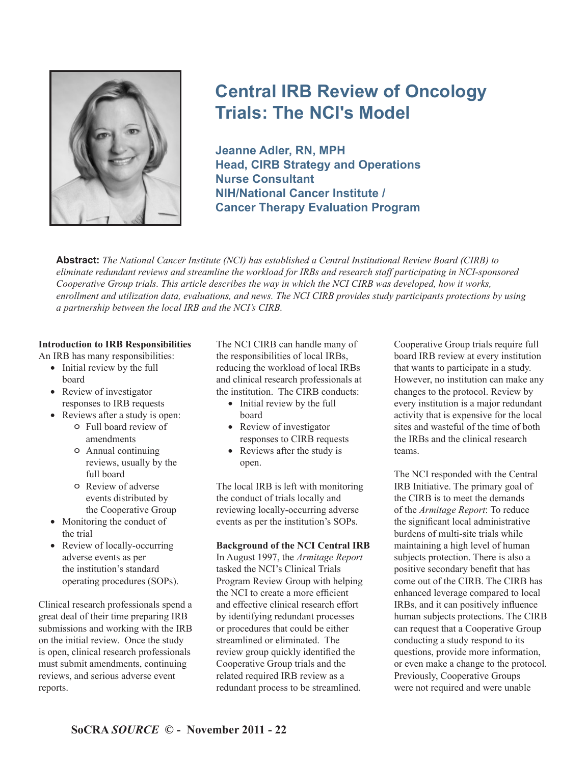

# **Central IRB Review of Oncology Trials: The NCI's Model**

**Jeanne Adler, RN, MPH Head, CIRB Strategy and Operations Nurse Consultant NIH/National Cancer Institute / Cancer Therapy Evaluation Program**

**Abstract:** *The National Cancer Institute (NCI) has established a Central Institutional Review Board (CIRB) to eliminate redundant reviews and streamline the workload for IRBs and research staff participating in NCI-sponsored Cooperative Group trials. This article describes the way in which the NCI CIRB was developed, how it works, enrollment and utilization data, evaluations, and news. The NCI CIRB provides study participants protections by using a partnership between the local IRB and the NCI's CIRB.* 

#### **Introduction to IRB Responsibilities**

An IRB has many responsibilities:

- Initial review by the full board
- Review of investigator responses to IRB requests
- Reviews after a study is open:
	- o Full board review of amendments
		- o Annual continuing reviews, usually by the full board
		- o Review of adverse events distributed by the Cooperative Group
- Monitoring the conduct of the trial
- Review of locally-occurring adverse events as per the institution's standard operating procedures (SOPs).

Clinical research professionals spend a great deal of their time preparing IRB submissions and working with the IRB on the initial review. Once the study is open, clinical research professionals must submit amendments, continuing reviews, and serious adverse event reports.

The NCI CIRB can handle many of the responsibilities of local IRBs, reducing the workload of local IRBs and clinical research professionals at the institution. The CIRB conducts:

- Initial review by the full board
- Review of investigator responses to CIRB requests
- Reviews after the study is open.

The local IRB is left with monitoring the conduct of trials locally and reviewing locally-occurring adverse events as per the institution's SOPs.

#### **Background of the NCI Central IRB**

In August 1997, the *Armitage Report* tasked the NCI's Clinical Trials Program Review Group with helping the NCI to create a more efficient and effective clinical research effort by identifying redundant processes or procedures that could be either streamlined or eliminated. The review group quickly identified the Cooperative Group trials and the related required IRB review as a redundant process to be streamlined.

Cooperative Group trials require full board IRB review at every institution that wants to participate in a study. However, no institution can make any changes to the protocol. Review by every institution is a major redundant activity that is expensive for the local sites and wasteful of the time of both the IRBs and the clinical research teams.

The NCI responded with the Central IRB Initiative. The primary goal of the CIRB is to meet the demands of the *Armitage Report*: To reduce the significant local administrative burdens of multi-site trials while maintaining a high level of human subjects protection. There is also a positive secondary benefit that has come out of the CIRB. The CIRB has enhanced leverage compared to local IRBs, and it can positively influence human subjects protections. The CIRB can request that a Cooperative Group conducting a study respond to its questions, provide more information, or even make a change to the protocol. Previously, Cooperative Groups were not required and were unable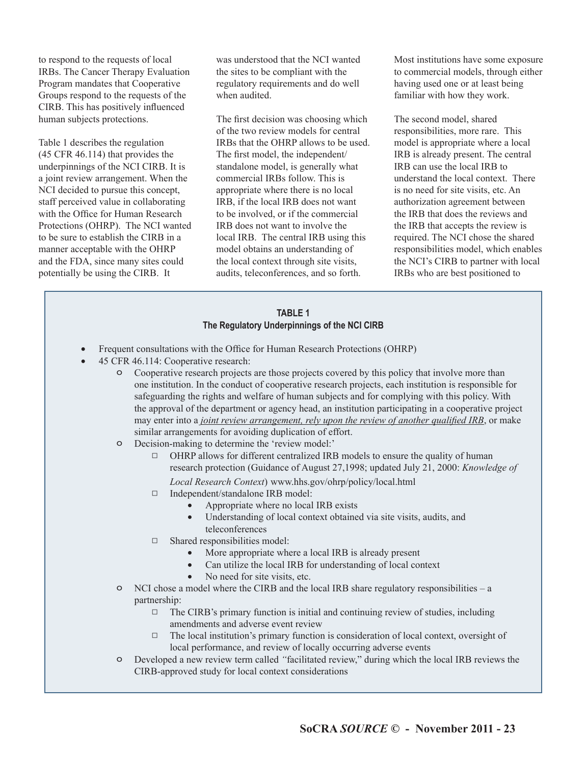to respond to the requests of local IRBs. The Cancer Therapy Evaluation Program mandates that Cooperative Groups respond to the requests of the CIRB. This has positively influenced human subjects protections.

Table 1 describes the regulation (45 CFR 46.114) that provides the underpinnings of the NCI CIRB. It is a joint review arrangement. When the NCI decided to pursue this concept, staff perceived value in collaborating with the Office for Human Research Protections (OHRP). The NCI wanted to be sure to establish the CIRB in a manner acceptable with the OHRP and the FDA, since many sites could potentially be using the CIRB. It

was understood that the NCI wanted the sites to be compliant with the regulatory requirements and do well when audited.

The first decision was choosing which of the two review models for central IRBs that the OHRP allows to be used. The first model, the independent/ standalone model, is generally what commercial IRBs follow. This is appropriate where there is no local IRB, if the local IRB does not want to be involved, or if the commercial IRB does not want to involve the local IRB. The central IRB using this model obtains an understanding of the local context through site visits, audits, teleconferences, and so forth.

Most institutions have some exposure to commercial models, through either having used one or at least being familiar with how they work.

The second model, shared responsibilities, more rare. This model is appropriate where a local IRB is already present. The central IRB can use the local IRB to understand the local context. There is no need for site visits, etc. An authorization agreement between the IRB that does the reviews and the IRB that accepts the review is required. The NCI chose the shared responsibilities model, which enables the NCI's CIRB to partner with local IRBs who are best positioned to

#### **TABLE 1 The Regulatory Underpinnings of the NCI CIRB**

- Frequent consultations with the Office for Human Research Protections (OHRP)
- 45 CFR 46.114: Cooperative research:
	- o Cooperative research projects are those projects covered by this policy that involve more than one institution. In the conduct of cooperative research projects, each institution is responsible for safeguarding the rights and welfare of human subjects and for complying with this policy. With the approval of the department or agency head, an institution participating in a cooperative project may enter into a *joint review arrangement, rely upon the review of another qualified IRB*, or make similar arrangements for avoiding duplication of effort.
	- o Decision-making to determine the 'review model:'
		- $\Box$  OHRP allows for different centralized IRB models to ensure the quality of human research protection (Guidance of August 27,1998; updated July 21, 2000: *Knowledge of Local Research Context*) www.hhs.gov/ohrp/policy/local.html
		- □ Independent/standalone IRB model:
			- Appropriate where no local IRB exists
			- Understanding of local context obtained via site visits, audits, and teleconferences
		- $\Box$  Shared responsibilities model:
			- More appropriate where a local IRB is already present
			- Can utilize the local IRB for understanding of local context
			- No need for site visits, etc.
	- o NCI chose a model where the CIRB and the local IRB share regulatory responsibilities a partnership:
		- $\Box$  The CIRB's primary function is initial and continuing review of studies, including amendments and adverse event review
		- $\Box$  The local institution's primary function is consideration of local context, oversight of local performance, and review of locally occurring adverse events
	- o Developed a new review term called *"*facilitated review," during which the local IRB reviews the CIRB-approved study for local context considerations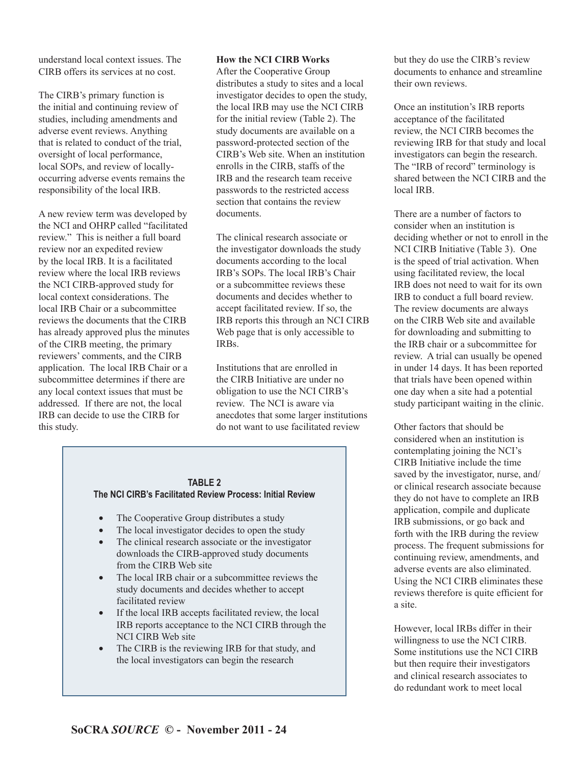understand local context issues. The CIRB offers its services at no cost.

The CIRB's primary function is the initial and continuing review of studies, including amendments and adverse event reviews. Anything that is related to conduct of the trial, oversight of local performance, local SOPs, and review of locallyoccurring adverse events remains the responsibility of the local IRB.

A new review term was developed by the NCI and OHRP called "facilitated review." This is neither a full board review nor an expedited review by the local IRB. It is a facilitated review where the local IRB reviews the NCI CIRB-approved study for local context considerations. The local IRB Chair or a subcommittee reviews the documents that the CIRB has already approved plus the minutes of the CIRB meeting, the primary reviewers' comments, and the CIRB application. The local IRB Chair or a subcommittee determines if there are any local context issues that must be addressed. If there are not, the local IRB can decide to use the CIRB for this study.

#### **How the NCI CIRB Works**

After the Cooperative Group distributes a study to sites and a local investigator decides to open the study, the local IRB may use the NCI CIRB for the initial review (Table 2). The study documents are available on a password-protected section of the CIRB's Web site. When an institution enrolls in the CIRB, staffs of the IRB and the research team receive passwords to the restricted access section that contains the review documents.

The clinical research associate or the investigator downloads the study documents according to the local IRB's SOPs. The local IRB's Chair or a subcommittee reviews these documents and decides whether to accept facilitated review. If so, the IRB reports this through an NCI CIRB Web page that is only accessible to IRBs.

Institutions that are enrolled in the CIRB Initiative are under no obligation to use the NCI CIRB's review. The NCI is aware via anecdotes that some larger institutions do not want to use facilitated review

#### **TABLE 2**

#### **The NCI CIRB's Facilitated Review Process: Initial Review**

- The Cooperative Group distributes a study
- The local investigator decides to open the study
- The clinical research associate or the investigator downloads the CIRB-approved study documents from the CIRB Web site
- The local IRB chair or a subcommittee reviews the study documents and decides whether to accept facilitated review
- If the local IRB accepts facilitated review, the local IRB reports acceptance to the NCI CIRB through the NCI CIRB Web site
- The CIRB is the reviewing IRB for that study, and the local investigators can begin the research

but they do use the CIRB's review documents to enhance and streamline their own reviews.

Once an institution's IRB reports acceptance of the facilitated review, the NCI CIRB becomes the reviewing IRB for that study and local investigators can begin the research. The "IRB of record" terminology is shared between the NCI CIRB and the local IRB.

There are a number of factors to consider when an institution is deciding whether or not to enroll in the NCI CIRB Initiative (Table 3). One is the speed of trial activation. When using facilitated review, the local IRB does not need to wait for its own IRB to conduct a full board review. The review documents are always on the CIRB Web site and available for downloading and submitting to the IRB chair or a subcommittee for review. A trial can usually be opened in under 14 days. It has been reported that trials have been opened within one day when a site had a potential study participant waiting in the clinic.

Other factors that should be considered when an institution is contemplating joining the NCI's CIRB Initiative include the time saved by the investigator, nurse, and/ or clinical research associate because they do not have to complete an IRB application, compile and duplicate IRB submissions, or go back and forth with the IRB during the review process. The frequent submissions for continuing review, amendments, and adverse events are also eliminated. Using the NCI CIRB eliminates these reviews therefore is quite efficient for a site.

However, local IRBs differ in their willingness to use the NCI CIRB. Some institutions use the NCI CIRB but then require their investigators and clinical research associates to do redundant work to meet local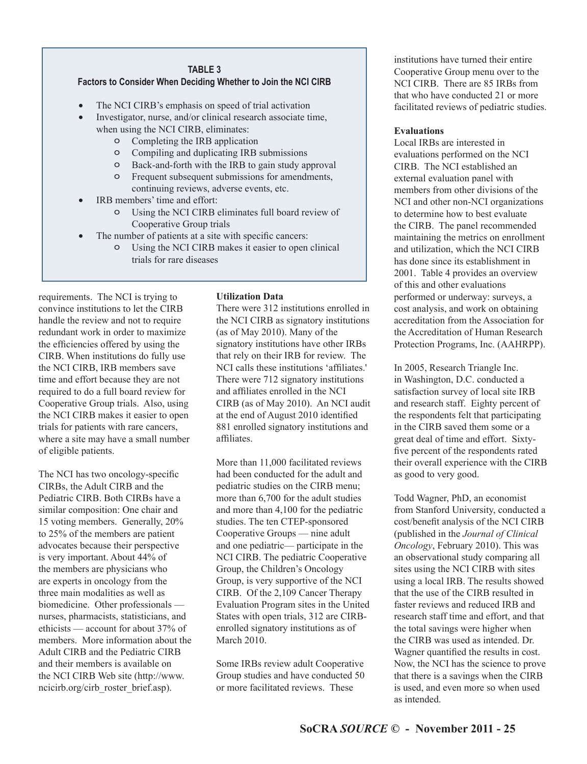## **TABLE 3**

### **Factors to Consider When Deciding Whether to Join the NCI CIRB**

- The NCI CIRB's emphasis on speed of trial activation
- Investigator, nurse, and/or clinical research associate time, when using the NCI CIRB, eliminates:
	- o Completing the IRB application
	- o Compiling and duplicating IRB submissions
	- o Back-and-forth with the IRB to gain study approval
	- o Frequent subsequent submissions for amendments, continuing reviews, adverse events, etc.
- IRB members' time and effort:
	- o Using the NCI CIRB eliminates full board review of Cooperative Group trials
- The number of patients at a site with specific cancers:
	- o Using the NCI CIRB makes it easier to open clinical trials for rare diseases

requirements. The NCI is trying to convince institutions to let the CIRB handle the review and not to require redundant work in order to maximize the efficiencies offered by using the CIRB. When institutions do fully use the NCI CIRB, IRB members save time and effort because they are not required to do a full board review for Cooperative Group trials. Also, using the NCI CIRB makes it easier to open trials for patients with rare cancers, where a site may have a small number of eligible patients.

The NCI has two oncology-specific CIRBs, the Adult CIRB and the Pediatric CIRB. Both CIRBs have a similar composition: One chair and 15 voting members. Generally, 20% to 25% of the members are patient advocates because their perspective is very important. About 44% of the members are physicians who are experts in oncology from the three main modalities as well as biomedicine. Other professionals nurses, pharmacists, statisticians, and ethicists — account for about 37% of members. More information about the Adult CIRB and the Pediatric CIRB and their members is available on the NCI CIRB Web site (http://www. ncicirb.org/cirb\_roster\_brief.asp).

#### **Utilization Data**

There were 312 institutions enrolled in the NCI CIRB as signatory institutions (as of May 2010). Many of the signatory institutions have other IRBs that rely on their IRB for review. The NCI calls these institutions 'affiliates.' There were 712 signatory institutions and affiliates enrolled in the NCI CIRB (as of May 2010). An NCI audit at the end of August 2010 identified 881 enrolled signatory institutions and affiliates

More than 11,000 facilitated reviews had been conducted for the adult and pediatric studies on the CIRB menu; more than 6,700 for the adult studies and more than 4,100 for the pediatric studies. The ten CTEP-sponsored Cooperative Groups — nine adult and one pediatric— participate in the NCI CIRB. The pediatric Cooperative Group, the Children's Oncology Group, is very supportive of the NCI CIRB. Of the 2,109 Cancer Therapy Evaluation Program sites in the United States with open trials, 312 are CIRBenrolled signatory institutions as of March 2010.

Some IRBs review adult Cooperative Group studies and have conducted 50 or more facilitated reviews. These

institutions have turned their entire Cooperative Group menu over to the NCI CIRB. There are 85 IRBs from that who have conducted 21 or more facilitated reviews of pediatric studies.

#### **Evaluations**

Local IRBs are interested in evaluations performed on the NCI CIRB. The NCI established an external evaluation panel with members from other divisions of the NCI and other non-NCI organizations to determine how to best evaluate the CIRB. The panel recommended maintaining the metrics on enrollment and utilization, which the NCI CIRB has done since its establishment in 2001. Table 4 provides an overview of this and other evaluations performed or underway: surveys, a cost analysis, and work on obtaining accreditation from the Association for the Accreditation of Human Research Protection Programs, Inc. (AAHRPP).

In 2005, Research Triangle Inc. in Washington, D.C. conducted a satisfaction survey of local site IRB and research staff. Eighty percent of the respondents felt that participating in the CIRB saved them some or a great deal of time and effort. Sixtyfive percent of the respondents rated their overall experience with the CIRB as good to very good.

Todd Wagner, PhD, an economist from Stanford University, conducted a cost/benefit analysis of the NCI CIRB (published in the *Journal of Clinical Oncology*, February 2010). This was an observational study comparing all sites using the NCI CIRB with sites using a local IRB. The results showed that the use of the CIRB resulted in faster reviews and reduced IRB and research staff time and effort, and that the total savings were higher when the CIRB was used as intended. Dr. Wagner quantified the results in cost. Now, the NCI has the science to prove that there is a savings when the CIRB is used, and even more so when used as intended.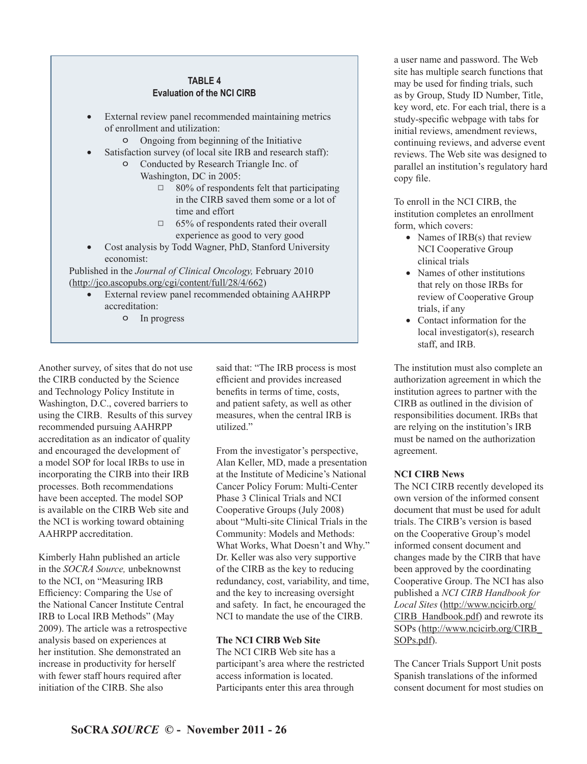#### **TABLE 4 Evaluation of the NCI CIRB**

- External review panel recommended maintaining metrics of enrollment and utilization:
	- o Ongoing from beginning of the Initiative
- Satisfaction survey (of local site IRB and research staff):
	- o Conducted by Research Triangle Inc. of Washington, DC in 2005:
		- $\Box$  80% of respondents felt that participating in the CIRB saved them some or a lot of time and effort
		- $\Box$  65% of respondents rated their overall experience as good to very good
- Cost analysis by Todd Wagner, PhD, Stanford University economist:

Published in the *Journal of Clinical Oncology,* February 2010 (http://jco.ascopubs.org/cgi/content/full/28/4/662)

- External review panel recommended obtaining AAHRPP accreditation:
	- o In progress

Another survey, of sites that do not use the CIRB conducted by the Science and Technology Policy Institute in Washington, D.C., covered barriers to using the CIRB. Results of this survey recommended pursuing AAHRPP accreditation as an indicator of quality and encouraged the development of a model SOP for local IRBs to use in incorporating the CIRB into their IRB processes. Both recommendations have been accepted. The model SOP is available on the CIRB Web site and the NCI is working toward obtaining AAHRPP accreditation.

Kimberly Hahn published an article in the *SOCRA Source,* unbeknownst to the NCI, on "Measuring IRB Efficiency: Comparing the Use of the National Cancer Institute Central IRB to Local IRB Methods" (May 2009). The article was a retrospective analysis based on experiences at her institution. She demonstrated an increase in productivity for herself with fewer staff hours required after initiation of the CIRB. She also

said that: "The IRB process is most efficient and provides increased benefits in terms of time, costs, and patient safety, as well as other measures, when the central IRB is utilized."

From the investigator's perspective, Alan Keller, MD, made a presentation at the Institute of Medicine's National Cancer Policy Forum: Multi-Center Phase 3 Clinical Trials and NCI Cooperative Groups (July 2008) about "Multi-site Clinical Trials in the Community: Models and Methods: What Works, What Doesn't and Why." Dr. Keller was also very supportive of the CIRB as the key to reducing redundancy, cost, variability, and time, and the key to increasing oversight and safety. In fact, he encouraged the NCI to mandate the use of the CIRB.

#### **The NCI CIRB Web Site**

The NCI CIRB Web site has a participant's area where the restricted access information is located. Participants enter this area through

a user name and password. The Web site has multiple search functions that may be used for finding trials, such as by Group, Study ID Number, Title, key word, etc. For each trial, there is a study-specific webpage with tabs for initial reviews, amendment reviews, continuing reviews, and adverse event reviews. The Web site was designed to parallel an institution's regulatory hard copy file.

To enroll in the NCI CIRB, the institution completes an enrollment form, which covers:

- Names of IRB(s) that review NCI Cooperative Group clinical trials
- Names of other institutions that rely on those IRBs for review of Cooperative Group trials, if any
- Contact information for the local investigator(s), research staff, and IRB.

The institution must also complete an authorization agreement in which the institution agrees to partner with the CIRB as outlined in the division of responsibilities document. IRBs that are relying on the institution's IRB must be named on the authorization agreement.

#### **NCI CIRB News**

The NCI CIRB recently developed its own version of the informed consent document that must be used for adult trials. The CIRB's version is based on the Cooperative Group's model informed consent document and changes made by the CIRB that have been approved by the coordinating Cooperative Group. The NCI has also published a *NCI CIRB Handbook for Local Sites* (http://www.ncicirb.org/ CIRB\_Handbook.pdf) and rewrote its SOPs (http://www.ncicirb.org/CIRB\_ SOPs.pdf).

The Cancer Trials Support Unit posts Spanish translations of the informed consent document for most studies on